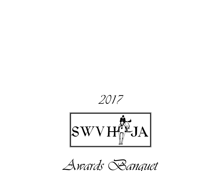2017



Awards Banquet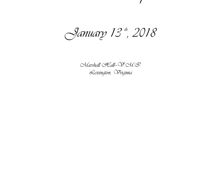January 13th, 2018

Awards Banquet

Narshall Fall-W.M.S. Lexington, Vriginia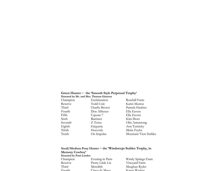# Green Hunter ~ the 'Smooth Style Perpetual Trophy' Donated by Mr. and Mrs. Thomas Ginaven

|          | Donated by MI, and MIS, Thomas Ginaven |                       |
|----------|----------------------------------------|-----------------------|
| Champion | Exclaimation                           | Rosehill Farm         |
| Reserve  | Todd Cole                              | Karin Mustoe          |
| Third    | Charlie Brown                          | Pamela Haskins        |
| Fourth   | Don Alfresco                           | Ella Eavers           |
| Fifth    | Capone 7                               | Ella Eavers           |
| Sixth    | Barrister                              | Kim Short             |
| Seventh  | Z Town                                 | Olin Armstrong        |
| Eighth   | Etiquette                              | Ann Turnicky          |
| Ninth    | Heavenly                               | Maria Fuchs           |
| Tenth    | On Impulse                             | Mountain View Stables |
|          |                                        |                       |

### Small/Medium Pony Hunter ~ the 'Windswept Stables Trophy, in Memory Cowboy' Donated by Patti Landes

| Donated by Pattl Landes |                   |                    |
|-------------------------|-------------------|--------------------|
| Champion                | Evening in Paris  | Windy Springs Farm |
| Reserve                 | Pretty Little Lie | Vineyard Farm      |
| Third                   | Meredith          | Meaghan Ryder      |
| Fourth                  | Cinco de Mayo     | Karen Waskey       |
|                         |                   |                    |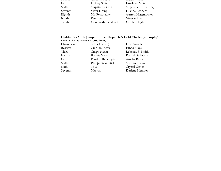| r vurun<br><u>Jihoo uu mayo</u> | Txaich waonc         |
|---------------------------------|----------------------|
| Fifth<br>Lickety Split          | <b>Emaline Davis</b> |
| Sixth<br>Surprise Edition       | Stephanie Armstrong  |
| Seventh<br>Silver Lining        | Luanne Leonard       |
| Eighth<br>Mr. Personality       | Garrett Hagenlocker  |
| Ninth<br>Peter Pan              | Vineyard Farm        |
| Tenth<br>Gone with the Wind     | Caroline Light       |

# Children's/Adult Jumper ~ the 'Hope He's Gold Challenge Trophy' Donated by the Michael Morris family

| Champion | School Boy Q       | Lily Caricofe    |
|----------|--------------------|------------------|
| Reserve  | Cracklin' Rosie    | Ethan Maye       |
| Third    | Craigs-etariat     | Rebecca F. Smith |
| Fourth   | <b>Bonnie View</b> | Rachel Galloway  |
| Fifth    | Road to Redemption | Amelia Bayer     |
| Sixth    | PL Quintessential  | Shannon Bower    |
| Sixth    | Tola               | Crystal Carter   |
| Seventh  | Maestro            | Darlene Kemper   |
|          |                    |                  |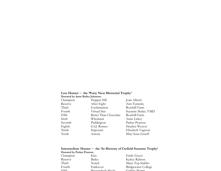# Low Hunter ~ the 'Purty Neat Memorial Trophy' Donated by Anne Bailey Johnston

| Donated by Tank Dancy Johnston |                       |                     |
|--------------------------------|-----------------------|---------------------|
| Champion                       | Hopper Hill           | Joan Alberti        |
| Reserve                        | After Eight           | Ann Turnicky        |
| Third                          | Exclaimation          | Rosehill Farm       |
| Fourth                         | Virtual Star          | Suzanne Shalet, VMD |
| Fifth                          | Better Than Chocolate | Rosehill Farm       |
| Sixth                          | Whodunit              | Anne Liskey         |
| Seventh                        | Paddington            | Parker Pearson      |
| Eighth                         | G.Q. Romeo            | Heather Weaver      |
| Ninth                          | Imposant              | Elizabeth Vagnoni   |
| Tenth                          | Aurora                | Mary Kate Graeff    |
|                                |                       |                     |

# Intermediate Hunter ~ the 'In Memory of Crefield Suzanne Trophy' Donated by Parker Pearson

| DOITATED DY FAIRER FEALSOIL |                  |                            |
|-----------------------------|------------------|----------------------------|
| Champion                    | Kira             | <b>Emily Guyer</b>         |
| Reserve                     | Bailey           | Kelsey Ralston             |
| Third                       | Noted            | Mane Top Stables           |
| Fourth                      | Endeavor         | <b>Bridgewater College</b> |
| $E$ : $f$ th                | Shanandogh Shada | Cappia Marrie              |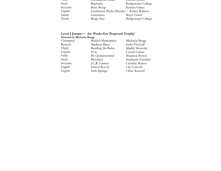| гиш     | энспаниоан энаис                          | JAU <del>UIC IVIOIHS</del> |
|---------|-------------------------------------------|----------------------------|
| Sixth   | Raphaela                                  | <b>Bridgewater College</b> |
| Seventh | <b>Betty Boop</b>                         | Kristen Oakes              |
| Eighth  | Gentlemen Prefer Blondes ~ Kelsey Ralston |                            |
| Ninth   | Geronimo                                  | <b>Bryce Leitch</b>        |
| Tenth   | Ringo Star                                | <b>Bridgewater College</b> |

# Level 2 Jumper ~ the 'Prado-Gee Perpetual Trophy' Donated by Michaela Bragg

| Champion | Shaded Masterpiece   | Michaela Bragg     |
|----------|----------------------|--------------------|
| Reserve  | <b>Madison Blues</b> | Kelly Fletchall    |
| Third    | Bending the Rules    | Maddy Slowoski     |
| Fourth   | Tola                 | Crystal Carter     |
| Fifth    | PL Quintessential    | Shannon Bower      |
| Sixth    | Brooklyn             | Stephanie Guerlain |
| Seventh  | J.C.R. Latinus       | Caroline Waters    |
| Eighth   | School Boy Q         | Lily Caricofe      |
| Eighth   | Irish Springs        | Chloe Kerschl      |
|          |                      |                    |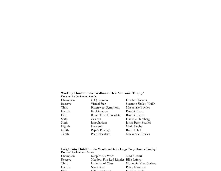# Working Hunter ~ the 'Wallstreet Heir Memorial Trophy' Donated by the Lemon family

| Donated by the Lemon family |                       |                     |  |
|-----------------------------|-----------------------|---------------------|--|
| Champion                    | G.Q. Romeo            | Heather Weaver      |  |
| Reserve                     | Virtual Star          | Suzanne Shalet, VMD |  |
| Third                       | Bittersweet Symphony  | Mackensie Bowles    |  |
| Fourth                      | Exclaimation          | Rosehill Farm       |  |
| Fifth                       | Better Than Chocolate | Rosehill Farm       |  |
| Sixth                       | Zealoth               | Danielle Herzberg   |  |
| Sixth                       | Iamwhatiam            | Jason Berry Stables |  |
| Eighth                      | Heavenly              | Maria Fuchs         |  |
| Ninth                       | Papa's Protégé        | Rachel Hall         |  |
| Tenth                       | Pearl Necklace        | Mackensie Bowles    |  |
|                             |                       |                     |  |

### Large Pony Hunter  $\sim$  the 'Southern States Large Pony Hunter Trophy' Donated by Southern States

| <b>Donated by countern clates</b> |                                         |                       |
|-----------------------------------|-----------------------------------------|-----------------------|
| Champion                          | Keepin' My Word                         | Madi Cozart           |
| Reserve                           | Meadow Fox Red Rhyder Ellie Laferty     |                       |
| Third                             | Little Bit of Class                     | Mountain View Stables |
| Fourth                            | Navy Blue                               | Percy Mascotte        |
| $\Gamma$ : $\mathcal{L}$ -1.      | $TL11$ $\Gamma_{2,max}$ $\Gamma_{xxxx}$ | Leabelle Device       |
|                                   |                                         |                       |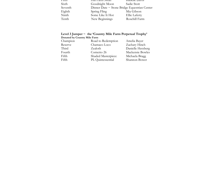| тшш     | <u>fiii faiin Swan</u>                            | isadeile d'avis |
|---------|---------------------------------------------------|-----------------|
| Sixth   | Goodnight Moon                                    | Sadie Stott     |
| Seventh | Dinner Date $\sim$ Stone Bridge Equestrian Center |                 |
| Eighth  | Spring Fling                                      | Mia Gibson      |
| Ninth   | Some Like It Hot                                  | Ellie Laferty   |
| Tenth   | New Beginnings                                    | Rosehill Farm   |

# Level 3 Jumper ~ the 'Country Mile Farm Perpetual Trophy' Donated by Country Mile Farm

| Champion | Road to Redemption | Amelia Bayer      |
|----------|--------------------|-------------------|
| Reserve  | Chamaco Loco       | Zachary Hinch     |
| Third    | Zealoth            | Danielle Herzberg |
| Fourth   | Cornetto 26        | Mackensie Bowles  |
| Fifth    | Shaded Masterpiece | Michaela Bragg    |
| Fifth    | PL Quintessential  | Shannon Bower     |
|          |                    |                   |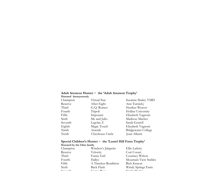# Adult Amateur Hunter ~ the 'Adult Amateur Trophy' Donated Anonymously

| DOHARRY THIOHYHIOUSHY |                         |                            |
|-----------------------|-------------------------|----------------------------|
| Champion              | Virtual Star            | Suzanne Shalet, VMD        |
| Reserve               | After Eight             | Ann Turnicky               |
| Third                 | G.Q. Romeo              | Heather Weaver             |
| Fourth                | Tripoli                 | Hollins University         |
| Fifth                 | Imposant                | Elizabeth Vagnoni          |
| Sixth                 | Me and Julio            | Madison Macher             |
| Seventh               | Legolas Z               | Sarah Gorrell              |
| Eighth                | Magic Touch             | Elizabeth Vagnoni          |
| Ninth                 | Arsenik                 | <b>Bridgewater College</b> |
| Tenth                 | <b>Chechesee Circle</b> | Joan Alberti               |
|                       |                         |                            |

# Special Children's Hunter ~ the 'Laurel Hill Farm Trophy' Donated by the Cline family

| Champion         | Windsor's Jalapeño                | Ellie Laferty                          |
|------------------|-----------------------------------|----------------------------------------|
| Reserve          | Velocity                          | Cori Cozart                            |
| Third            | Funny Girl                        | Courtney Wilson                        |
| Fourth           | Hallye                            | Mountain View Stables                  |
| Fifth            | A Timeless Rendition              | Rick Krason                            |
| Sixth            | Back Flash                        | Windy Springs Farm                     |
| $C_{\text{max}}$ | $C_{\text{max}} = D_{\text{max}}$ | $\Gamma$ as $\ln$ $\Gamma$ of $\Omega$ |
|                  |                                   |                                        |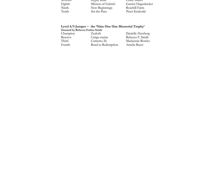| əevenin | <b>GYPSY ROSC</b>  | <b>EHIIIV</b> SHATET |
|---------|--------------------|----------------------|
| Eighth  | Mission of Gabriel | Garrett Hagenlocker  |
| Ninth   | New Beginnings     | Rosehill Farm        |
| Tenth   | Set the Pace       | Peter Krukoski       |
|         |                    |                      |

# Level 4/5 Jumper ~ the 'Nine One One Memorial Trophy' Donated by Rebecca Forbes Smith

| Champion | Zealoth            | Danielle Herzberg |
|----------|--------------------|-------------------|
| Reserve  | Craigs-etariat     | Rebecca F. Smith  |
| Third    | Cornetto 26        | Mackensie Bowles  |
| Fourth   | Road to Redemption | Amelia Bayer      |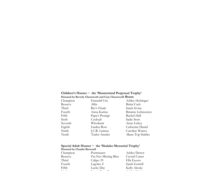### Children's Hunter ~ the 'Mastermind Perpetual Trophy' Donated by Beverly Chenoweth and Cary Chenoweth Braun

| Donated by Develly Chenowelli and Cary Chenowelli Drauli |                     |                    |
|----------------------------------------------------------|---------------------|--------------------|
| Champion                                                 | <b>Emerald City</b> | Ashley Holsinger   |
| Reserve                                                  | Alibi               | Britni Cash        |
| Third                                                    | Rio's Finale        | Sarah Irvine       |
| Fourth                                                   | Anna-Karina         | Brianne Lefanowicz |
| Fifth                                                    | Papa's Protégé      | Rachel Hall        |
| Sixth                                                    | Cocktail            | Sadie Stott        |
| Seventh                                                  | Whodunit            | Anne Liskey        |
| Eighth                                                   | Linden Row          | Catherine Daniel   |
| Ninth                                                    | J.C.R. Latinus      | Caroline Waters    |
| Tenth                                                    | Tudor Amulet        | Mane Top Stables   |
|                                                          |                     |                    |

### Special Adult Hunter ~ the 'Shalako Memorial Trophy' Donated by Claudia Brownell

| Champion | Postmaster           | Ashley Dettor  |
|----------|----------------------|----------------|
| Reserve  | I'm Not Missing Blue | Crystal Carter |
| Third    | Calipo 39            | Ella Eavers    |
| Fourth   | Legolas Z            | Sarah Gorrell  |
| Fifth    | Lucky Day            | Kelly Alcoke   |
|          |                      |                |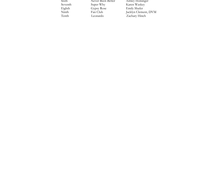| Sixth   | Never Been Better | <b>Ashley Holsinger</b> |
|---------|-------------------|-------------------------|
| Seventh | Super Why         | Karen Waskey            |
| Eighth  | Gypsy Rose        | <b>Emily Shafer</b>     |
| Ninth   | Fan Club          | Jacklyn Clement, DVM    |
| Tenth   | Leonardo          | Zachary Hinch           |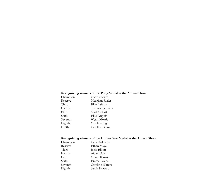### Recognizing winners of the Pony Medal at the Annual Show:

| Champion | Corie Cozart    |
|----------|-----------------|
| Reserve  | Meaghan Ryder   |
| Third    | Ellie Laferty   |
| Fourth   | Shannon Jenkins |
| Fifth    | Madi Cozart     |
| Sixth    | Ellie Dupuis    |
| Seventh  | Wyatt Morris    |
| Eighth   | Caroline Light  |
| Ninth    | Caroline Blum   |
|          |                 |

### Recognizing winners of the Hunter Seat Medal at the Annual Show:

| Champion | Catie Williams  |
|----------|-----------------|
| Reserve  | Ethan Maye      |
| Third    | Josie Elliott   |
| Fourth   | Aidan Daly      |
| Fifth    | Celine Kimata   |
| Sixth    | Emma Evans      |
| Seventh  | Caroline Waters |
| Eighth   | Sarah Howard    |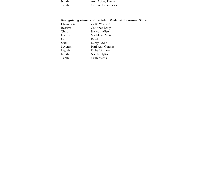| Ninth | Ann Ashley Daniel  |
|-------|--------------------|
| Tenth | Brianne Lefanowicz |

### Recognizing winners of the Adult Medal at the Annual Show:

| Champion | Zellie Wothers   |
|----------|------------------|
| Reserve  | Courtney Barry   |
| Third    | Heavon Allen     |
| Fourth   | Madeline Davis   |
| Fifth    | Randi Byrd       |
| Sixth    | Kasey Cadle      |
| Seventh  | Patti Ann Conner |
| Eighth   | Kriby Tidmore    |
| Ninth    | Nicole Hylton    |
| Tenth    | Faith Sterna     |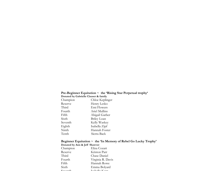### Pre-Beginner Equitation ~ the 'Rising Star Perpetual trophy'

Donated by Gabrielle Clauser & family

| Champion | Chloe Keplinger    |
|----------|--------------------|
| Reserve  | Henry Lesko        |
| Third    | Emi Flowers        |
| Fourth   | Ariel Mullins      |
| Fifth    | Abigail Garber     |
| Sixth    | <b>Briley Loan</b> |
| Seventh  | Kelly Waskey       |
| Eighth   | Isabella Zipf      |
| Ninth    | Hannah Foster      |
| Tenth    | Sierra Back        |

### Beginner Equitation ~ the 'In Memory of Rebel Go Lucky Trophy'Donated by Ann & Jeff Shawver

| Champion | Eliza Cozart                         |
|----------|--------------------------------------|
| Reserve  | Kriston Parr                         |
| Third    | Chase Daniel                         |
| Fourth   | Virginia R. Davis                    |
| Fifth    | Hannah Rowe                          |
| Sixth    | Emma Bolyard                         |
|          | $\text{Leb}$ alle $\overline{V}$ and |
|          |                                      |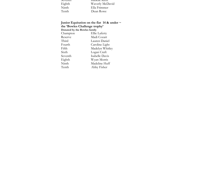| әсvенин | IS <del>adeiie Ixeii</del> t |
|---------|------------------------------|
| Eighth  | Waverly McDavid              |
| Ninth   | Ella Frimmer                 |
| Tenth   | Dean Rowe                    |

Junior Equitation on the flat 14 & under  $\sim$ the 'Bowles Challenge trophy' Donated by the Bowles family<br>Champion Ellie Champion Ellie Laferty Reserve Madi Cozart Third Lauren Daniel Fourth Caroline Light Fifth Madelyn Whitley<br>Sixth Logan Craft Sixth Logan Craft<br>Seventh Isabelle Davi Isabelle Davis Eighth Wyatt Morris Madeline Huff Tenth Abby Fisher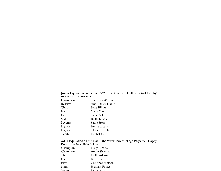# Junior Equitation on the flat 15-17 ~ the 'Chatham Hall Perpetual Trophy' In honor of 'Just Because'

| Champion | Courtney Wilson   |
|----------|-------------------|
| Reserve  | Ann Ashley Daniel |
| Third    | Josie Elliott     |
| Fourth   | Corie Cozart      |
| Fifth    | Catie Williams    |
| Sixth    | Reilly Krason     |
| Seventh  | Sadie Stott       |
| Eighth   | Emma Evans        |
| Eighth   | Chloe Kerschl     |
| Tenth    | Rachel Hall       |

#### Adult Equitation on the Flat ~ the 'Sweet Briar College Perpetual Trophy' Donated by Sweet Briar College

| Champion                                                    | Kelly Alcoke    |
|-------------------------------------------------------------|-----------------|
| Champion                                                    | Annie Shawver   |
| Third                                                       | Holly Adams     |
| Fourth                                                      | Katie Gehrt     |
| Fifth                                                       | Courtney Watson |
| Sixth                                                       | Hannah Foster   |
| $\mathcal{R}_{\mathbf{a}\mathbf{v}\mathbf{a}\mathbf{n}}$ th | Iordan Criss    |
|                                                             |                 |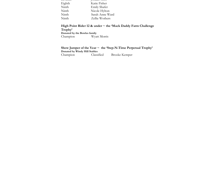| Eighth | Katie Fisher        |
|--------|---------------------|
| Ninth  | <b>Emily Shafer</b> |
| Ninth  | Nicole Hylton       |
| Ninth  | Sarah Anne Ward     |
| Ninth  | Zellie Wothers      |
|        |                     |

High Point Rider 12 & under ~ the 'Mack Daddy Farm Challenge Trophy' Donated by the Bowles familyChampion Wyatt Morris

#### Show Jumper of the Year ~ the 'Step-N-Time Perpetual Trophy' Donated by Windy Hill StablesClassified Champion Classified Brooke Kemper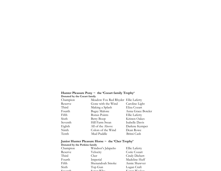#### Hunter Pleasure Pony ~ the 'Cozart family Trophy' Donated by the Cozart family

| Champion | Meadow Fox Red Rhyder Ellie Laferty |                    |
|----------|-------------------------------------|--------------------|
| Reserve  | Gone with the Wind                  | Caroline Light     |
| Third    | Making a Splash                     | Eliza Cozart       |
| Fourth   | <b>Bugsy Malone</b>                 | Anna Grace Boteler |
| Fifth    | <b>Bonus Points</b>                 | Ellie Laferty      |
| Sixth    | Betty Boop                          | Kristen Oakes      |
| Seventh  | Hill Farm Swan                      | Isabelle Davis     |
| Eighth   | All of the Above                    | Darlene Kemper     |
| Ninth    | Colors of the Wind                  | Dean Rowe          |
| Tenth    | Mud Puddle                          | Britni Cash        |
|          |                                     |                    |

### Junior Hunter Pleasure Horse ~ the 'Cher Trophy'Donated by the Perkins family

| Champion                            | Windsor's Jalapeño | Ellie Laferty                   |
|-------------------------------------|--------------------|---------------------------------|
| Reserve                             | Velocity           | Corie Cozart                    |
| Third                               | Cher               | Cindy Diebert                   |
| Fourth                              | Imperial           | Madeline Huff                   |
| Fifth                               | Shenandoah Smoke   | Annie Shawver                   |
| Sixth                               | Top Gun            | Logan Craft                     |
| $C_{\alpha}$ $\sim$ $\sim$ $\pm$ 1. | $C_{1100}$ Why     | $V_{\alpha\alpha\alpha}$ Washer |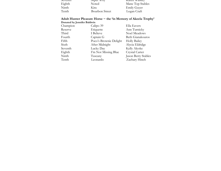| $\sigma$ ocvering | <b>SUPCI WIIV</b> | <b>NATCH WASKEY</b> |
|-------------------|-------------------|---------------------|
| Eighth            | Noted             | Mane Top Stables    |
| Ninth             | Kira              | <b>Emily Guyer</b>  |
| Tenth             | Bourbon Street    | Logan Craft         |

### Adult Hunter Pleasure Horse ~ the 'in Memory of Akeela Trophy' Donated by Jennifer Baldwin

| Champion | Calipo 39              | Ella Eavers         |
|----------|------------------------|---------------------|
| Reserve  | Etiquette              | Ann Turnicky        |
| Third    | I Believe              | Noel Meadows        |
| Fourth   | Captain G              | Beth Gianakouros    |
| Fifth    | Poco's Brownie Delight | <b>Holly Bailey</b> |
| Sixth    | After Midnight         | Alycia Eldridge     |
| Seventh  | Lucky Day              | Kelly Alcoke        |
| Eighth   | I'm Not Missing Blue   | Crystal Carter      |
| Ninth    | Tuscany                | Jason Berry Stables |
| Tenth    | Leonardo               | Zachary Hinch       |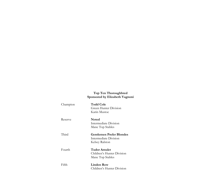# Top Ten Thoroughbred Sponsored by Elizabeth Vagnoni

| Champion | <b>Todd Cole</b><br>Green Hunter Division<br>Karin Mustoe                  |
|----------|----------------------------------------------------------------------------|
| Reserve  | <b>Noted</b><br>Intermediate Division<br>Mane Top Stables                  |
| Third    | <b>Gentlemen Prefer Blondes</b><br>Intermediate Division<br>Kelsey Ralston |
| Fourth   | Tudor Amulet<br>Children's Hunter Division<br>Mane Top Stables             |
| Fifth    | Linden Row<br>Children's Hunter Division                                   |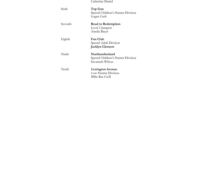|  | Catherine Daniel |  |
|--|------------------|--|
|  |                  |  |

| Sixth   | Top Gun<br>Special Children's Hunter Division<br>Logan Craft            |
|---------|-------------------------------------------------------------------------|
| Seventh | Road to Redemption<br>Level 3 Jumpers<br>Amelia Bayer                   |
| Eighth  | <b>Fan Club</b><br>Special Adult Division<br><b>Jacklyn Clement</b>     |
| Ninth   | Northumberland<br>Special Children's Hunter Division<br>Savannah Wilson |
| Tenth   | <b>Lexington Avenue</b><br>Low Hunter Division<br>Billie Rae Croll      |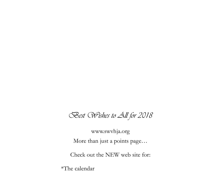# Best Wishes to All for 2018

www.swvhja.org More than just a points page…

Check out the NEW web site for:

\*The calendar